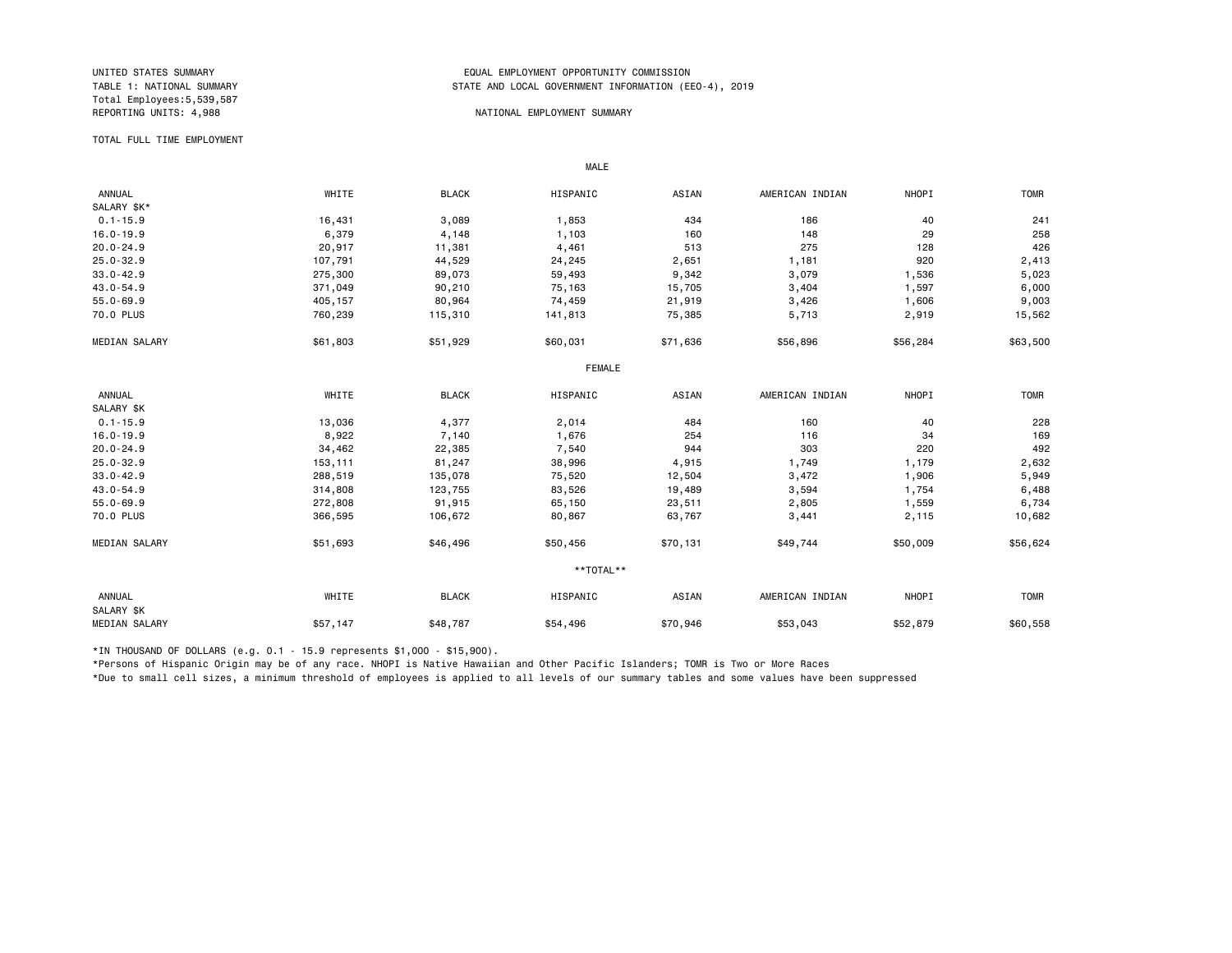# Total Employees:5,539,587

### UNITED STATES SUMMARY EQUAL EMPLOYMENT OPPORTUNITY COMMISSION STATE AND LOCAL GOVERNMENT INFORMATION (EEO-4), 2019

# NATIONAL EMPLOYMENT SUMMARY

#### TOTAL FULL TIME EMPLOYMENT

|                      |          | MALE         |               |          |                 |              |             |
|----------------------|----------|--------------|---------------|----------|-----------------|--------------|-------------|
| <b>ANNUAL</b>        | WHITE    | <b>BLACK</b> | HISPANIC      | ASIAN    | AMERICAN INDIAN | NHOPI        | <b>TOMR</b> |
| SALARY \$K*          |          |              |               |          |                 |              |             |
| $0.1 - 15.9$         | 16,431   | 3,089        | 1,853         | 434      | 186             | 40           | 241         |
| $16.0 - 19.9$        | 6,379    | 4,148        | 1,103         | 160      | 148             | 29           | 258         |
| $20.0 - 24.9$        | 20,917   | 11,381       | 4,461         | 513      | 275             | 128          | 426         |
| $25.0 - 32.9$        | 107,791  | 44,529       | 24,245        | 2,651    | 1,181           | 920          | 2,413       |
| $33.0 - 42.9$        | 275,300  | 89,073       | 59,493        | 9,342    | 3,079           | 1,536        | 5,023       |
| 43.0-54.9            | 371,049  | 90,210       | 75,163        | 15,705   | 3,404           | 1,597        | 6,000       |
| $55.0 - 69.9$        | 405,157  | 80,964       | 74,459        | 21,919   | 3,426           | 1,606        | 9,003       |
| 70.0 PLUS            | 760,239  | 115,310      | 141,813       | 75,385   | 5,713           | 2,919        | 15,562      |
| <b>MEDIAN SALARY</b> | \$61,803 | \$51,929     | \$60,031      | \$71,636 | \$56,896        | \$56,284     | \$63,500    |
|                      |          |              | <b>FEMALE</b> |          |                 |              |             |
| ANNUAL               | WHITE    | <b>BLACK</b> | HISPANIC      | ASIAN    | AMERICAN INDIAN | <b>NHOPI</b> | <b>TOMR</b> |
| SALARY \$K           |          |              |               |          |                 |              |             |
| $0.1 - 15.9$         | 13,036   | 4,377        | 2,014         | 484      | 160             | 40           | 228         |
| $16.0 - 19.9$        | 8,922    | 7,140        | 1,676         | 254      | 116             | 34           | 169         |
| $20.0 - 24.9$        | 34,462   | 22,385       | 7,540         | 944      | 303             | 220          | 492         |
| $25.0 - 32.9$        | 153,111  | 81,247       | 38,996        | 4,915    | 1,749           | 1,179        | 2,632       |
| $33.0 - 42.9$        | 288,519  | 135,078      | 75,520        | 12,504   | 3,472           | 1,906        | 5,949       |
| 43.0-54.9            | 314,808  | 123,755      | 83,526        | 19,489   | 3,594           | 1,754        | 6,488       |
| $55.0 - 69.9$        | 272,808  | 91,915       | 65,150        | 23,511   | 2,805           | 1,559        | 6,734       |
| 70.0 PLUS            | 366,595  | 106,672      | 80,867        | 63,767   | 3,441           | 2,115        | 10,682      |
| <b>MEDIAN SALARY</b> | \$51,693 | \$46,496     | \$50,456      | \$70,131 | \$49,744        | \$50,009     | \$56,624    |
|                      |          |              | **TOTAL**     |          |                 |              |             |
| ANNUAL<br>SALARY \$K | WHITE    | <b>BLACK</b> | HISPANIC      | ASIAN    | AMERICAN INDIAN | <b>NHOPI</b> | <b>TOMR</b> |
| <b>MEDIAN SALARY</b> | \$57,147 | \$48,787     | \$54,496      | \$70,946 | \$53,043        | \$52,879     | \$60,558    |

\*IN THOUSAND OF DOLLARS (e.g. 0.1 - 15.9 represents \$1,000 - \$15,900).

\*Persons of Hispanic Origin may be of any race. NHOPI is Native Hawaiian and Other Pacific Islanders; TOMR is Two or More Races

\*Due to small cell sizes, a minimum threshold of employees is applied to all levels of our summary tables and some values have been suppressed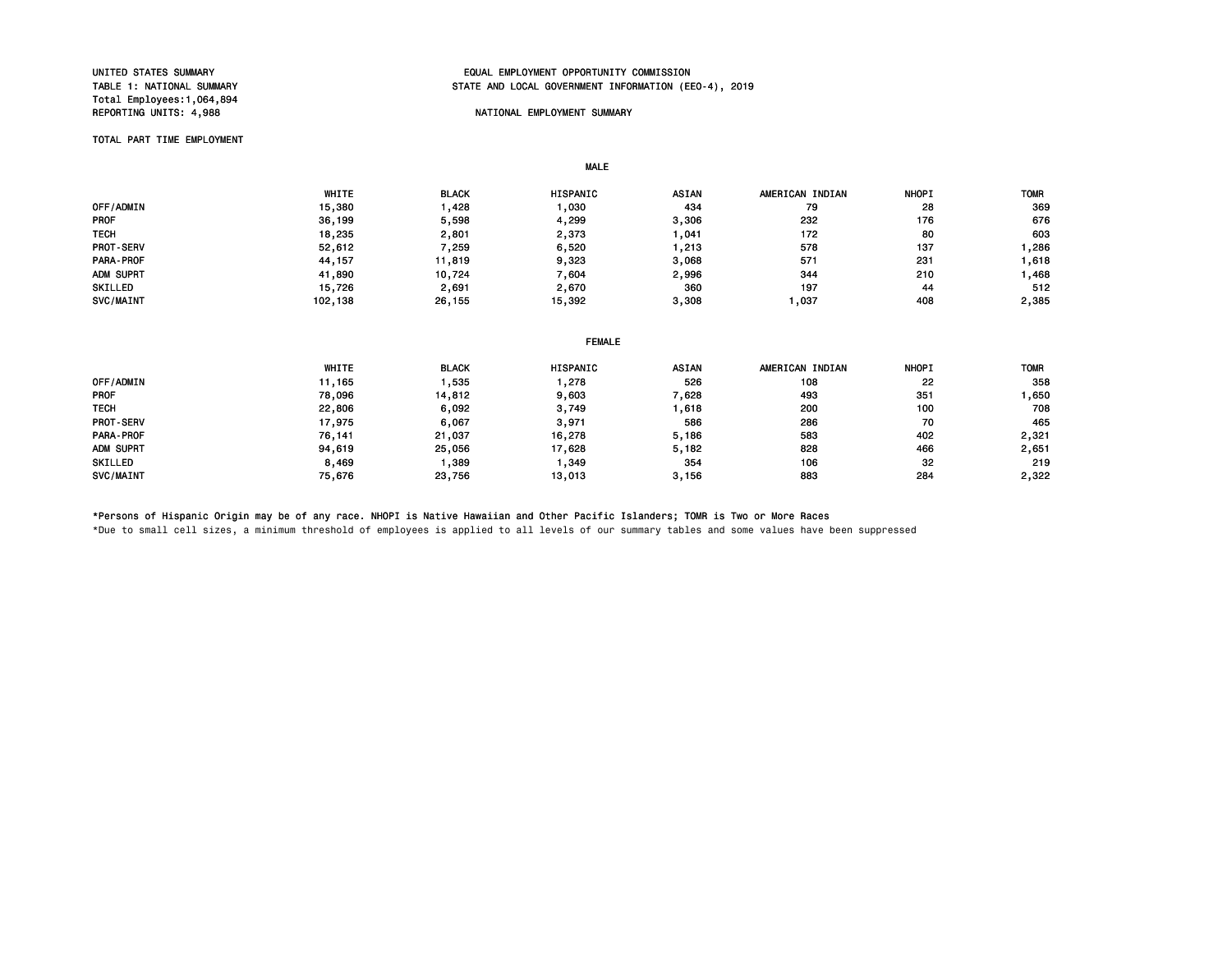# Total Employees:1,064,894

# UNITED STATES SUMMARY EQUAL EMPLOYMENT OPPORTUNITY COMMISSION STATE AND LOCAL GOVERNMENT INFORMATION (EEO-4), 2019

# NATIONAL EMPLOYMENT SUMMARY

#### TOTAL PART TIME EMPLOYMENT

|                  |         |              | <b>MALE</b>   |       |                 |              |             |
|------------------|---------|--------------|---------------|-------|-----------------|--------------|-------------|
|                  | WHITE   | <b>BLACK</b> | HISPANIC      | ASIAN | AMERICAN INDIAN | <b>NHOPI</b> | <b>TOMR</b> |
| OFF/ADMIN        | 15,380  | 1,428        | 1,030         | 434   | 79              | 28           | 369         |
| <b>PROF</b>      | 36,199  | 5,598        | 4,299         | 3,306 | 232             | 176          | 676         |
| <b>TECH</b>      | 18,235  | 2,801        | 2,373         | 1,041 | 172             | 80           | 603         |
| <b>PROT-SERV</b> | 52,612  | 7,259        | 6,520         | 1,213 | 578             | 137          | 1,286       |
| <b>PARA-PROF</b> | 44,157  | 11,819       | 9,323         | 3,068 | 571             | 231          | 1,618       |
| ADM SUPRT        | 41,890  | 10,724       | 7,604         | 2,996 | 344             | 210          | 1,468       |
| SKILLED          | 15,726  | 2,691        | 2,670         | 360   | 197             | 44           | 512         |
| SVC/MAINT        | 102,138 | 26,155       | 15,392        | 3,308 | 1,037           | 408          | 2,385       |
|                  |         |              |               |       |                 |              |             |
|                  |         |              | <b>FEMALE</b> |       |                 |              |             |
|                  | WHITE   | <b>BLACK</b> | HISPANIC      | ASIAN | AMERICAN INDIAN | <b>NHOPI</b> | <b>TOMR</b> |
| OFF/ADMIN        | 11,165  | 1,535        | 1,278         | 526   | 108             | 22           | 358         |
| PROF             | 78,096  | 14,812       | 9,603         | 7,628 | 493             | 351          | 1,650       |
| <b>TECH</b>      | 22,806  | 6,092        | 3,749         | 1,618 | 200             | 100          | 708         |
| <b>PROT-SERV</b> | 17,975  | 6,067        | 3,971         | 586   | 286             | 70           | 465         |
| PARA-PROF        | 76,141  | 21,037       | 16,278        | 5,186 | 583             | 402          | 2,321       |
| ADM SUPRT        | 94,619  | 25,056       | 17,628        | 5,182 | 828             | 466          | 2,651       |
| SKILLED          | 8,469   | 1,389        | 1,349         | 354   | 106             | 32           | 219         |
| SVC/MAINT        | 75,676  | 23,756       | 13,013        | 3,156 | 883             | 284          | 2,322       |

# \*Persons of Hispanic Origin may be of any race. NHOPI is Native Hawaiian and Other Pacific Islanders; TOMR is Two or More Races

\*Due to small cell sizes, a minimum threshold of employees is applied to all levels of our summary tables and some values have been suppressed